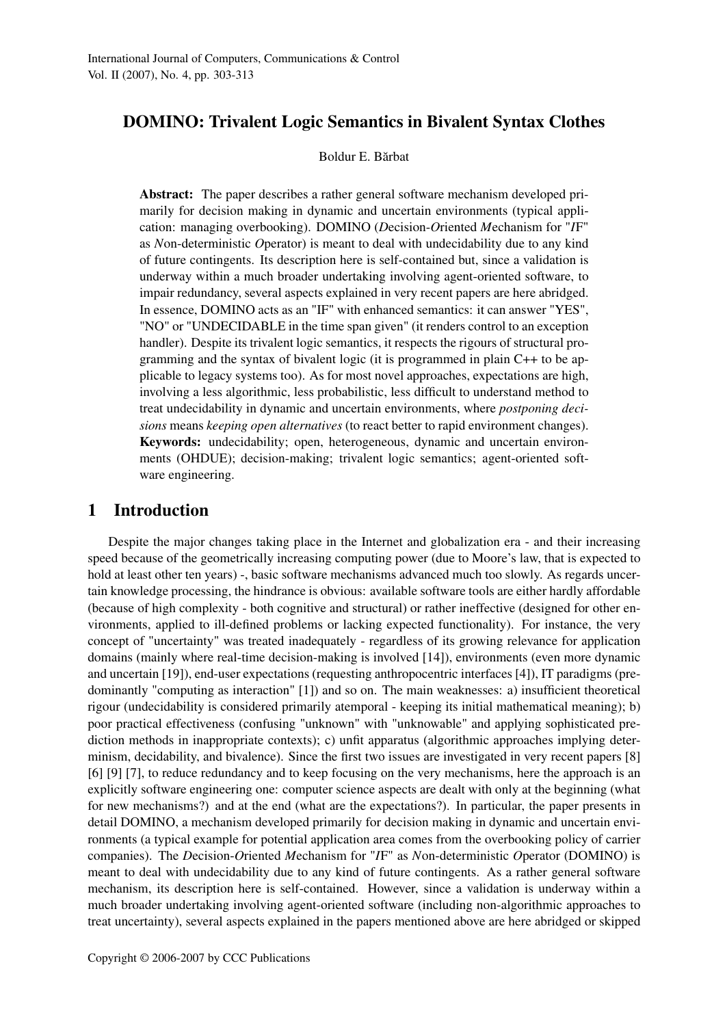# DOMINO: Trivalent Logic Semantics in Bivalent Syntax Clothes

#### Boldur E. Bărbat

Abstract: The paper describes a rather general software mechanism developed primarily for decision making in dynamic and uncertain environments (typical application: managing overbooking). DOMINO (*D*ecision-*O*riented *M*echanism for "*I*F" as *N*on-deterministic *O*perator) is meant to deal with undecidability due to any kind of future contingents. Its description here is self-contained but, since a validation is underway within a much broader undertaking involving agent-oriented software, to impair redundancy, several aspects explained in very recent papers are here abridged. In essence, DOMINO acts as an "IF" with enhanced semantics: it can answer "YES", "NO" or "UNDECIDABLE in the time span given" (it renders control to an exception handler). Despite its trivalent logic semantics, it respects the rigours of structural programming and the syntax of bivalent logic (it is programmed in plain C++ to be applicable to legacy systems too). As for most novel approaches, expectations are high, involving a less algorithmic, less probabilistic, less difficult to understand method to treat undecidability in dynamic and uncertain environments, where *postponing decisions* means *keeping open alternatives* (to react better to rapid environment changes). Keywords: undecidability; open, heterogeneous, dynamic and uncertain environments (OHDUE); decision-making; trivalent logic semantics; agent-oriented software engineering.

## 1 Introduction

Despite the major changes taking place in the Internet and globalization era - and their increasing speed because of the geometrically increasing computing power (due to Moore's law, that is expected to hold at least other ten years) -, basic software mechanisms advanced much too slowly. As regards uncertain knowledge processing, the hindrance is obvious: available software tools are either hardly affordable (because of high complexity - both cognitive and structural) or rather ineffective (designed for other environments, applied to ill-defined problems or lacking expected functionality). For instance, the very concept of "uncertainty" was treated inadequately - regardless of its growing relevance for application domains (mainly where real-time decision-making is involved [14]), environments (even more dynamic and uncertain [19]), end-user expectations (requesting anthropocentric interfaces [4]), IT paradigms (predominantly "computing as interaction" [1]) and so on. The main weaknesses: a) insufficient theoretical rigour (undecidability is considered primarily atemporal - keeping its initial mathematical meaning); b) poor practical effectiveness (confusing "unknown" with "unknowable" and applying sophisticated prediction methods in inappropriate contexts); c) unfit apparatus (algorithmic approaches implying determinism, decidability, and bivalence). Since the first two issues are investigated in very recent papers [8] [6] [9] [7], to reduce redundancy and to keep focusing on the very mechanisms, here the approach is an explicitly software engineering one: computer science aspects are dealt with only at the beginning (what for new mechanisms?) and at the end (what are the expectations?). In particular, the paper presents in detail DOMINO, a mechanism developed primarily for decision making in dynamic and uncertain environments (a typical example for potential application area comes from the overbooking policy of carrier companies). The *D*ecision-*O*riented *M*echanism for "*I*F" as *N*on-deterministic *O*perator (DOMINO) is meant to deal with undecidability due to any kind of future contingents. As a rather general software mechanism, its description here is self-contained. However, since a validation is underway within a much broader undertaking involving agent-oriented software (including non-algorithmic approaches to treat uncertainty), several aspects explained in the papers mentioned above are here abridged or skipped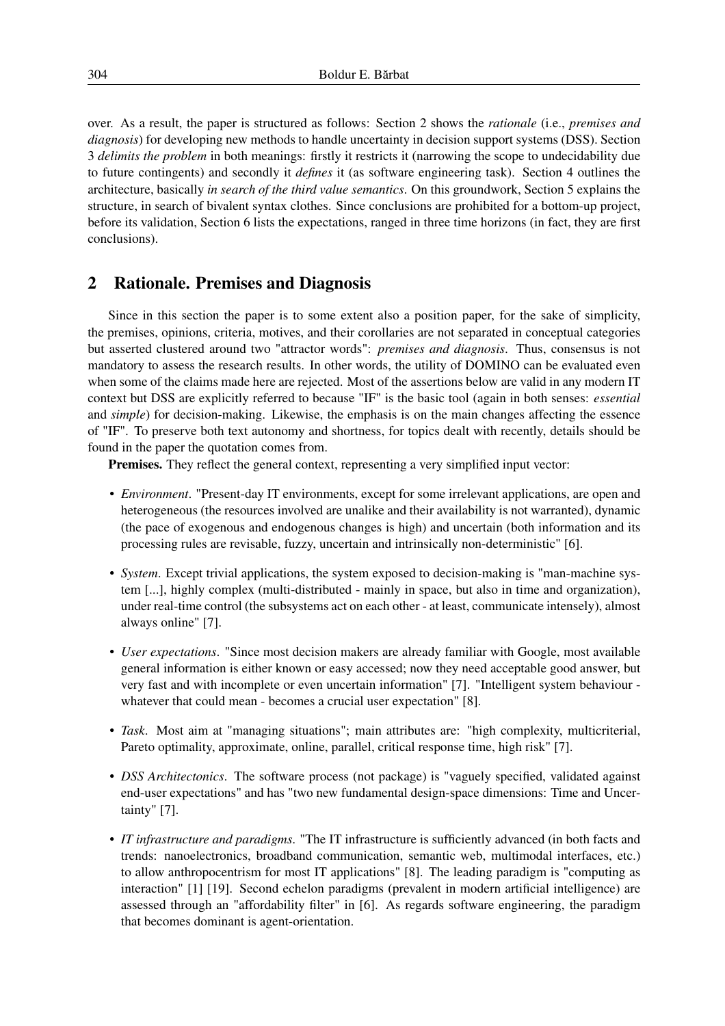over. As a result, the paper is structured as follows: Section 2 shows the *rationale* (i.e., *premises and diagnosis*) for developing new methods to handle uncertainty in decision support systems (DSS). Section 3 *delimits the problem* in both meanings: firstly it restricts it (narrowing the scope to undecidability due to future contingents) and secondly it *defines* it (as software engineering task). Section 4 outlines the architecture, basically *in search of the third value semantics*. On this groundwork, Section 5 explains the structure, in search of bivalent syntax clothes. Since conclusions are prohibited for a bottom-up project, before its validation, Section 6 lists the expectations, ranged in three time horizons (in fact, they are first conclusions).

### 2 Rationale. Premises and Diagnosis

Since in this section the paper is to some extent also a position paper, for the sake of simplicity, the premises, opinions, criteria, motives, and their corollaries are not separated in conceptual categories but asserted clustered around two "attractor words": *premises and diagnosis*. Thus, consensus is not mandatory to assess the research results. In other words, the utility of DOMINO can be evaluated even when some of the claims made here are rejected. Most of the assertions below are valid in any modern IT context but DSS are explicitly referred to because "IF" is the basic tool (again in both senses: *essential* and *simple*) for decision-making. Likewise, the emphasis is on the main changes affecting the essence of "IF". To preserve both text autonomy and shortness, for topics dealt with recently, details should be found in the paper the quotation comes from.

Premises. They reflect the general context, representing a very simplified input vector:

- *Environment*. "Present-day IT environments, except for some irrelevant applications, are open and heterogeneous (the resources involved are unalike and their availability is not warranted), dynamic (the pace of exogenous and endogenous changes is high) and uncertain (both information and its processing rules are revisable, fuzzy, uncertain and intrinsically non-deterministic" [6].
- *System*. Except trivial applications, the system exposed to decision-making is "man-machine system [...], highly complex (multi-distributed - mainly in space, but also in time and organization), under real-time control (the subsystems act on each other - at least, communicate intensely), almost always online" [7].
- *User expectations*. "Since most decision makers are already familiar with Google, most available general information is either known or easy accessed; now they need acceptable good answer, but very fast and with incomplete or even uncertain information" [7]. "Intelligent system behaviour whatever that could mean - becomes a crucial user expectation" [8].
- *Task*. Most aim at "managing situations"; main attributes are: "high complexity, multicriterial, Pareto optimality, approximate, online, parallel, critical response time, high risk" [7].
- *DSS Architectonics*. The software process (not package) is "vaguely specified, validated against end-user expectations" and has "two new fundamental design-space dimensions: Time and Uncertainty" [7].
- *IT infrastructure and paradigms*. "The IT infrastructure is sufficiently advanced (in both facts and trends: nanoelectronics, broadband communication, semantic web, multimodal interfaces, etc.) to allow anthropocentrism for most IT applications" [8]. The leading paradigm is "computing as interaction" [1] [19]. Second echelon paradigms (prevalent in modern artificial intelligence) are assessed through an "affordability filter" in [6]. As regards software engineering, the paradigm that becomes dominant is agent-orientation.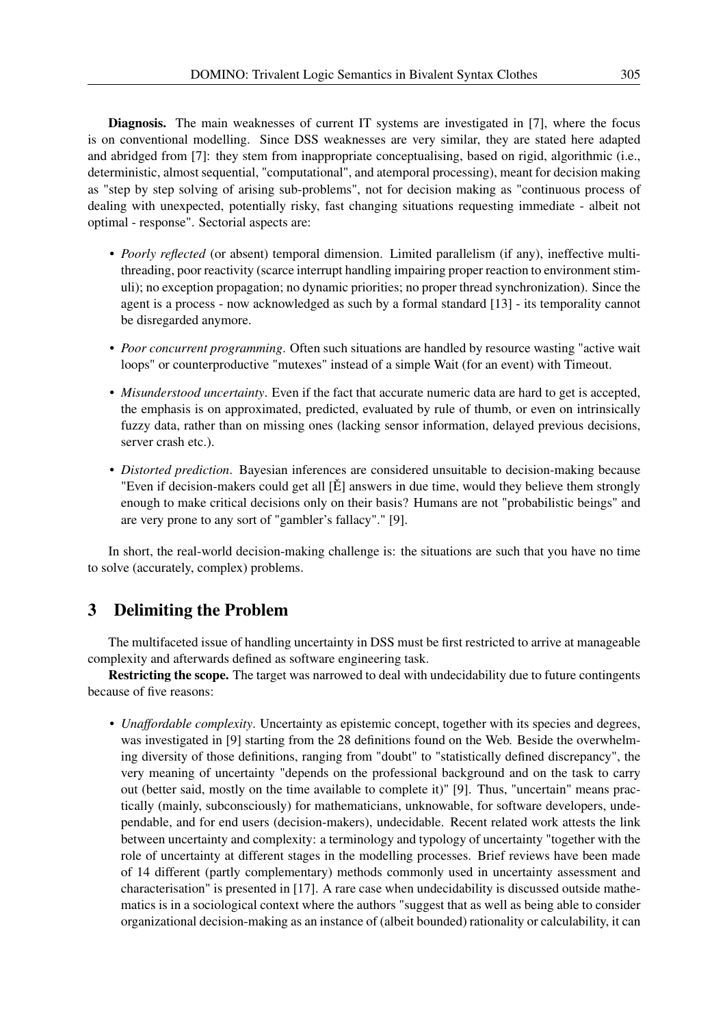Diagnosis. The main weaknesses of current IT systems are investigated in [7], where the focus is on conventional modelling. Since DSS weaknesses are very similar, they are stated here adapted and abridged from [7]: they stem from inappropriate conceptualising, based on rigid, algorithmic (i.e., deterministic, almost sequential, "computational", and atemporal processing), meant for decision making as "step by step solving of arising sub-problems", not for decision making as "continuous process of dealing with unexpected, potentially risky, fast changing situations requesting immediate - albeit not optimal - response". Sectorial aspects are:

- *Poorly reflected* (or absent) temporal dimension. Limited parallelism (if any), ineffective multithreading, poor reactivity (scarce interrupt handling impairing proper reaction to environment stimuli); no exception propagation; no dynamic priorities; no proper thread synchronization). Since the agent is a process - now acknowledged as such by a formal standard [13] - its temporality cannot be disregarded anymore.
- *Poor concurrent programming*. Often such situations are handled by resource wasting "active wait loops" or counterproductive "mutexes" instead of a simple Wait (for an event) with Timeout.
- *Misunderstood uncertainty*. Even if the fact that accurate numeric data are hard to get is accepted, the emphasis is on approximated, predicted, evaluated by rule of thumb, or even on intrinsically fuzzy data, rather than on missing ones (lacking sensor information, delayed previous decisions, server crash etc.).
- *Distorted prediction*. Bayesian inferences are considered unsuitable to decision-making because "Even if decision-makers could get all  $[\check{E}]$  answers in due time, would they believe them strongly enough to make critical decisions only on their basis? Humans are not "probabilistic beings" and are very prone to any sort of "gambler's fallacy"." [9].

In short, the real-world decision-making challenge is: the situations are such that you have no time to solve (accurately, complex) problems.

# 3 Delimiting the Problem

The multifaceted issue of handling uncertainty in DSS must be first restricted to arrive at manageable complexity and afterwards defined as software engineering task.

Restricting the scope. The target was narrowed to deal with undecidability due to future contingents because of five reasons:

• *Unaffordable complexity*. Uncertainty as epistemic concept, together with its species and degrees, was investigated in [9] starting from the 28 definitions found on the Web. Beside the overwhelming diversity of those definitions, ranging from "doubt" to "statistically defined discrepancy", the very meaning of uncertainty "depends on the professional background and on the task to carry out (better said, mostly on the time available to complete it)" [9]. Thus, "uncertain" means practically (mainly, subconsciously) for mathematicians, unknowable, for software developers, undependable, and for end users (decision-makers), undecidable. Recent related work attests the link between uncertainty and complexity: a terminology and typology of uncertainty "together with the role of uncertainty at different stages in the modelling processes. Brief reviews have been made of 14 different (partly complementary) methods commonly used in uncertainty assessment and characterisation" is presented in [17]. A rare case when undecidability is discussed outside mathematics is in a sociological context where the authors "suggest that as well as being able to consider organizational decision-making as an instance of (albeit bounded) rationality or calculability, it can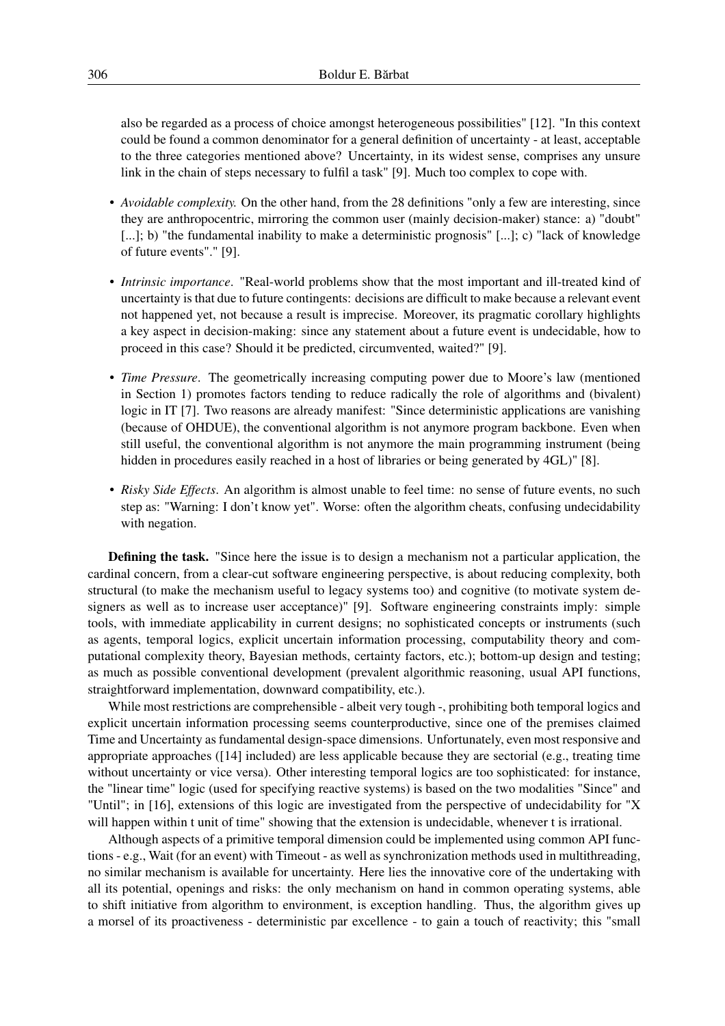also be regarded as a process of choice amongst heterogeneous possibilities" [12]. "In this context could be found a common denominator for a general definition of uncertainty - at least, acceptable to the three categories mentioned above? Uncertainty, in its widest sense, comprises any unsure link in the chain of steps necessary to fulfil a task" [9]. Much too complex to cope with.

- *Avoidable complexity.* On the other hand, from the 28 definitions "only a few are interesting, since they are anthropocentric, mirroring the common user (mainly decision-maker) stance: a) "doubt" [...]; b) "the fundamental inability to make a deterministic prognosis" [...]; c) "lack of knowledge of future events"." [9].
- *Intrinsic importance*. "Real-world problems show that the most important and ill-treated kind of uncertainty is that due to future contingents: decisions are difficult to make because a relevant event not happened yet, not because a result is imprecise. Moreover, its pragmatic corollary highlights a key aspect in decision-making: since any statement about a future event is undecidable, how to proceed in this case? Should it be predicted, circumvented, waited?" [9].
- *Time Pressure*. The geometrically increasing computing power due to Moore's law (mentioned in Section 1) promotes factors tending to reduce radically the role of algorithms and (bivalent) logic in IT [7]. Two reasons are already manifest: "Since deterministic applications are vanishing (because of OHDUE), the conventional algorithm is not anymore program backbone. Even when still useful, the conventional algorithm is not anymore the main programming instrument (being hidden in procedures easily reached in a host of libraries or being generated by 4GL)" [8].
- *Risky Side Effects*. An algorithm is almost unable to feel time: no sense of future events, no such step as: "Warning: I don't know yet". Worse: often the algorithm cheats, confusing undecidability with negation.

Defining the task. "Since here the issue is to design a mechanism not a particular application, the cardinal concern, from a clear-cut software engineering perspective, is about reducing complexity, both structural (to make the mechanism useful to legacy systems too) and cognitive (to motivate system designers as well as to increase user acceptance)" [9]. Software engineering constraints imply: simple tools, with immediate applicability in current designs; no sophisticated concepts or instruments (such as agents, temporal logics, explicit uncertain information processing, computability theory and computational complexity theory, Bayesian methods, certainty factors, etc.); bottom-up design and testing; as much as possible conventional development (prevalent algorithmic reasoning, usual API functions, straightforward implementation, downward compatibility, etc.).

While most restrictions are comprehensible - albeit very tough -, prohibiting both temporal logics and explicit uncertain information processing seems counterproductive, since one of the premises claimed Time and Uncertainty as fundamental design-space dimensions. Unfortunately, even most responsive and appropriate approaches ([14] included) are less applicable because they are sectorial (e.g., treating time without uncertainty or vice versa). Other interesting temporal logics are too sophisticated: for instance, the "linear time" logic (used for specifying reactive systems) is based on the two modalities "Since" and "Until"; in [16], extensions of this logic are investigated from the perspective of undecidability for "X will happen within t unit of time" showing that the extension is undecidable, whenever t is irrational.

Although aspects of a primitive temporal dimension could be implemented using common API functions - e.g., Wait (for an event) with Timeout - as well as synchronization methods used in multithreading, no similar mechanism is available for uncertainty. Here lies the innovative core of the undertaking with all its potential, openings and risks: the only mechanism on hand in common operating systems, able to shift initiative from algorithm to environment, is exception handling. Thus, the algorithm gives up a morsel of its proactiveness - deterministic par excellence - to gain a touch of reactivity; this "small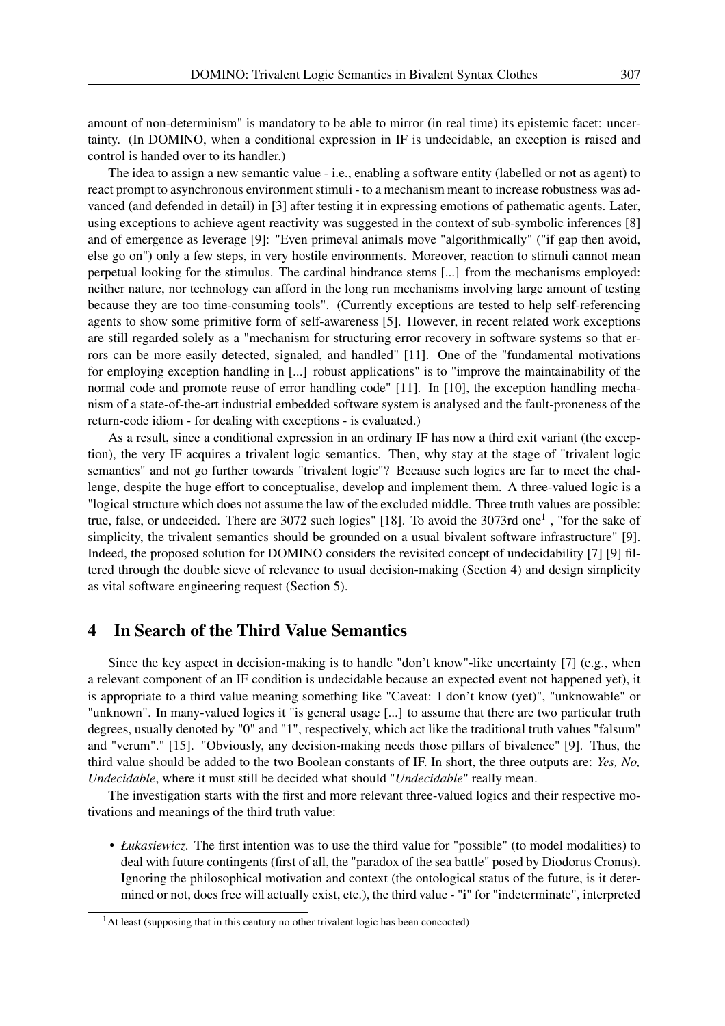amount of non-determinism" is mandatory to be able to mirror (in real time) its epistemic facet: uncertainty. (In DOMINO, when a conditional expression in IF is undecidable, an exception is raised and control is handed over to its handler.)

The idea to assign a new semantic value - i.e., enabling a software entity (labelled or not as agent) to react prompt to asynchronous environment stimuli - to a mechanism meant to increase robustness was advanced (and defended in detail) in [3] after testing it in expressing emotions of pathematic agents. Later, using exceptions to achieve agent reactivity was suggested in the context of sub-symbolic inferences [8] and of emergence as leverage [9]: "Even primeval animals move "algorithmically" ("if gap then avoid, else go on") only a few steps, in very hostile environments. Moreover, reaction to stimuli cannot mean perpetual looking for the stimulus. The cardinal hindrance stems [...] from the mechanisms employed: neither nature, nor technology can afford in the long run mechanisms involving large amount of testing because they are too time-consuming tools". (Currently exceptions are tested to help self-referencing agents to show some primitive form of self-awareness [5]. However, in recent related work exceptions are still regarded solely as a "mechanism for structuring error recovery in software systems so that errors can be more easily detected, signaled, and handled" [11]. One of the "fundamental motivations for employing exception handling in [...] robust applications" is to "improve the maintainability of the normal code and promote reuse of error handling code" [11]. In [10], the exception handling mechanism of a state-of-the-art industrial embedded software system is analysed and the fault-proneness of the return-code idiom - for dealing with exceptions - is evaluated.)

As a result, since a conditional expression in an ordinary IF has now a third exit variant (the exception), the very IF acquires a trivalent logic semantics. Then, why stay at the stage of "trivalent logic semantics" and not go further towards "trivalent logic"? Because such logics are far to meet the challenge, despite the huge effort to conceptualise, develop and implement them. A three-valued logic is a "logical structure which does not assume the law of the excluded middle. Three truth values are possible: true, false, or undecided. There are 3072 such logics" [18]. To avoid the 3073rd one<sup>1</sup>, "for the sake of simplicity, the trivalent semantics should be grounded on a usual bivalent software infrastructure" [9]. Indeed, the proposed solution for DOMINO considers the revisited concept of undecidability [7] [9] filtered through the double sieve of relevance to usual decision-making (Section 4) and design simplicity as vital software engineering request (Section 5).

### 4 In Search of the Third Value Semantics

Since the key aspect in decision-making is to handle "don't know"-like uncertainty [7] (e.g., when a relevant component of an IF condition is undecidable because an expected event not happened yet), it is appropriate to a third value meaning something like "Caveat: I don't know (yet)", "unknowable" or "unknown". In many-valued logics it "is general usage [...] to assume that there are two particular truth degrees, usually denoted by "0" and "1", respectively, which act like the traditional truth values "falsum" and "verum"." [15]. "Obviously, any decision-making needs those pillars of bivalence" [9]. Thus, the third value should be added to the two Boolean constants of IF. In short, the three outputs are: *Yes, No, Undecidable*, where it must still be decided what should "*Undecidable*" really mean.

The investigation starts with the first and more relevant three-valued logics and their respective motivations and meanings of the third truth value:

• *Łukasiewicz.* The first intention was to use the third value for "possible" (to model modalities) to deal with future contingents (first of all, the "paradox of the sea battle" posed by Diodorus Cronus). Ignoring the philosophical motivation and context (the ontological status of the future, is it determined or not, does free will actually exist, etc.), the third value - "i" for "indeterminate", interpreted

 $<sup>1</sup>$ At least (supposing that in this century no other trivalent logic has been concocted)</sup>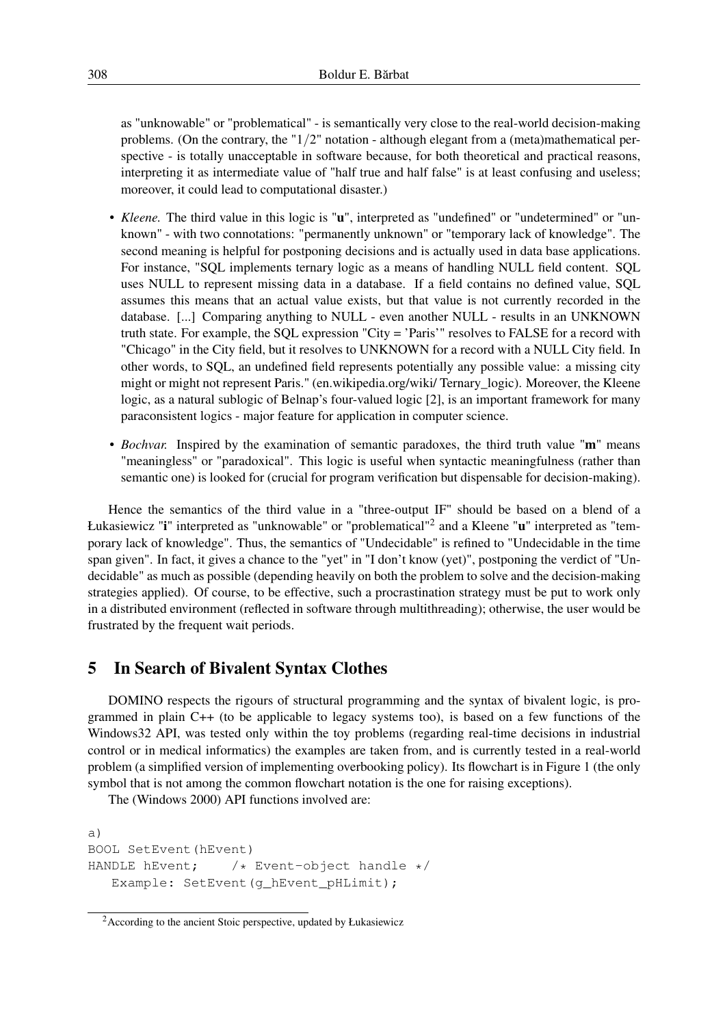as "unknowable" or "problematical" - is semantically very close to the real-world decision-making problems. (On the contrary, the "1/2" notation - although elegant from a (meta)mathematical perspective - is totally unacceptable in software because, for both theoretical and practical reasons, interpreting it as intermediate value of "half true and half false" is at least confusing and useless; moreover, it could lead to computational disaster.)

- *Kleene.* The third value in this logic is "u", interpreted as "undefined" or "undetermined" or "unknown" - with two connotations: "permanently unknown" or "temporary lack of knowledge". The second meaning is helpful for postponing decisions and is actually used in data base applications. For instance, "SQL implements ternary logic as a means of handling NULL field content. SQL uses NULL to represent missing data in a database. If a field contains no defined value, SQL assumes this means that an actual value exists, but that value is not currently recorded in the database. [...] Comparing anything to NULL - even another NULL - results in an UNKNOWN truth state. For example, the SQL expression "City = 'Paris'" resolves to FALSE for a record with "Chicago" in the City field, but it resolves to UNKNOWN for a record with a NULL City field. In other words, to SQL, an undefined field represents potentially any possible value: a missing city might or might not represent Paris." (en.wikipedia.org/wiki/ Ternary\_logic). Moreover, the Kleene logic, as a natural sublogic of Belnap's four-valued logic [2], is an important framework for many paraconsistent logics - major feature for application in computer science.
- *Bochvar.* Inspired by the examination of semantic paradoxes, the third truth value "m" means "meaningless" or "paradoxical". This logic is useful when syntactic meaningfulness (rather than semantic one) is looked for (crucial for program verification but dispensable for decision-making).

Hence the semantics of the third value in a "three-output IF" should be based on a blend of a Łukasiewicz "i" interpreted as "unknowable" or "problematical"<sup>2</sup> and a Kleene "u" interpreted as "temporary lack of knowledge". Thus, the semantics of "Undecidable" is refined to "Undecidable in the time span given". In fact, it gives a chance to the "yet" in "I don't know (yet)", postponing the verdict of "Undecidable" as much as possible (depending heavily on both the problem to solve and the decision-making strategies applied). Of course, to be effective, such a procrastination strategy must be put to work only in a distributed environment (reflected in software through multithreading); otherwise, the user would be frustrated by the frequent wait periods.

# 5 In Search of Bivalent Syntax Clothes

DOMINO respects the rigours of structural programming and the syntax of bivalent logic, is programmed in plain C++ (to be applicable to legacy systems too), is based on a few functions of the Windows32 API, was tested only within the toy problems (regarding real-time decisions in industrial control or in medical informatics) the examples are taken from, and is currently tested in a real-world problem (a simplified version of implementing overbooking policy). Its flowchart is in Figure 1 (the only symbol that is not among the common flowchart notation is the one for raising exceptions).

The (Windows 2000) API functions involved are:

```
a)
BOOL SetEvent(hEvent)
HANDLE hEvent; /* Event-object handle */Example: SetEvent (q_hEvent_pHLimit);
```
<sup>2</sup>According to the ancient Stoic perspective, updated by Łukasiewicz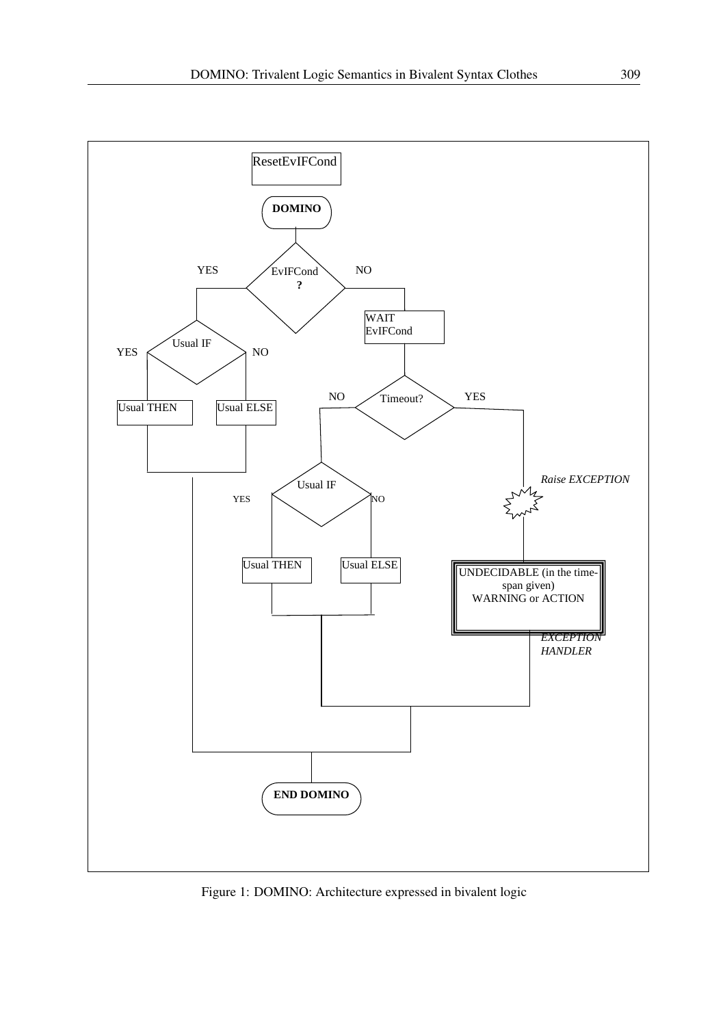

Figure 1: DOMINO: Architecture expressed in bivalent logic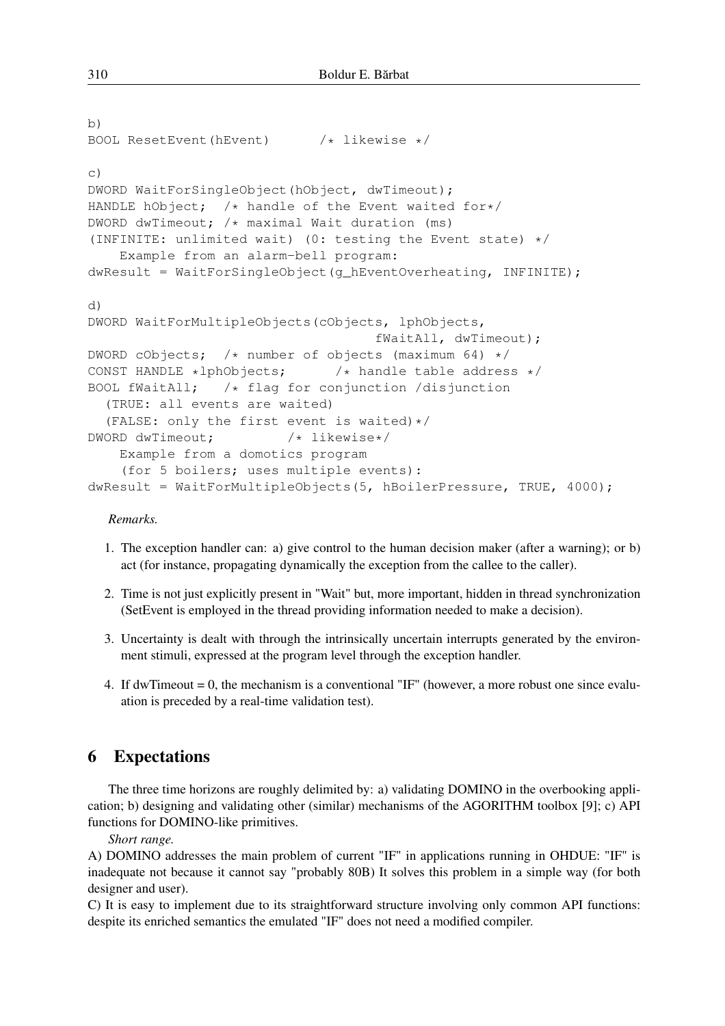```
b)
BOOL ResetEvent(hEvent) /* likewise */c)
DWORD WaitForSingleObject(hObject, dwTimeout);
HANDLE hObject; /* handle of the Event waited for*/DWORD dwTimeout; /* maximal Wait duration (ms)
(INFINITE: unlimited wait) (0: testing the Event state) */Example from an alarm-bell program:
dwResult = WaitForSingleObject(g_hEventOverheating, INFINITE);
d)
DWORD WaitForMultipleObjects(cObjects, lphObjects,
                                   fWaitAll, dwTimeout);
DWORD cObjects; /* number of objects (maximum 64) */CONST HANDLE *lphObjects; /* handle table address */
BOOL fWaitAll; /* flag for conjunction /disjunction
  (TRUE: all events are waited)
  (FALSE: only the first event is waited) */DWORD dwTimeout; /* likewise*/
   Example from a domotics program
    (for 5 boilers; uses multiple events):
dwResult = WaitForMultipleObjects(5, hBoilerPressure, TRUE, 4000);
```
#### *Remarks.*

- 1. The exception handler can: a) give control to the human decision maker (after a warning); or b) act (for instance, propagating dynamically the exception from the callee to the caller).
- 2. Time is not just explicitly present in "Wait" but, more important, hidden in thread synchronization (SetEvent is employed in the thread providing information needed to make a decision).
- 3. Uncertainty is dealt with through the intrinsically uncertain interrupts generated by the environment stimuli, expressed at the program level through the exception handler.
- 4. If dwTimeout = 0, the mechanism is a conventional "IF" (however, a more robust one since evaluation is preceded by a real-time validation test).

## 6 Expectations

The three time horizons are roughly delimited by: a) validating DOMINO in the overbooking application; b) designing and validating other (similar) mechanisms of the AGORITHM toolbox [9]; c) API functions for DOMINO-like primitives.

*Short range.*

A) DOMINO addresses the main problem of current "IF" in applications running in OHDUE: "IF" is inadequate not because it cannot say "probably 80B) It solves this problem in a simple way (for both designer and user).

C) It is easy to implement due to its straightforward structure involving only common API functions: despite its enriched semantics the emulated "IF" does not need a modified compiler.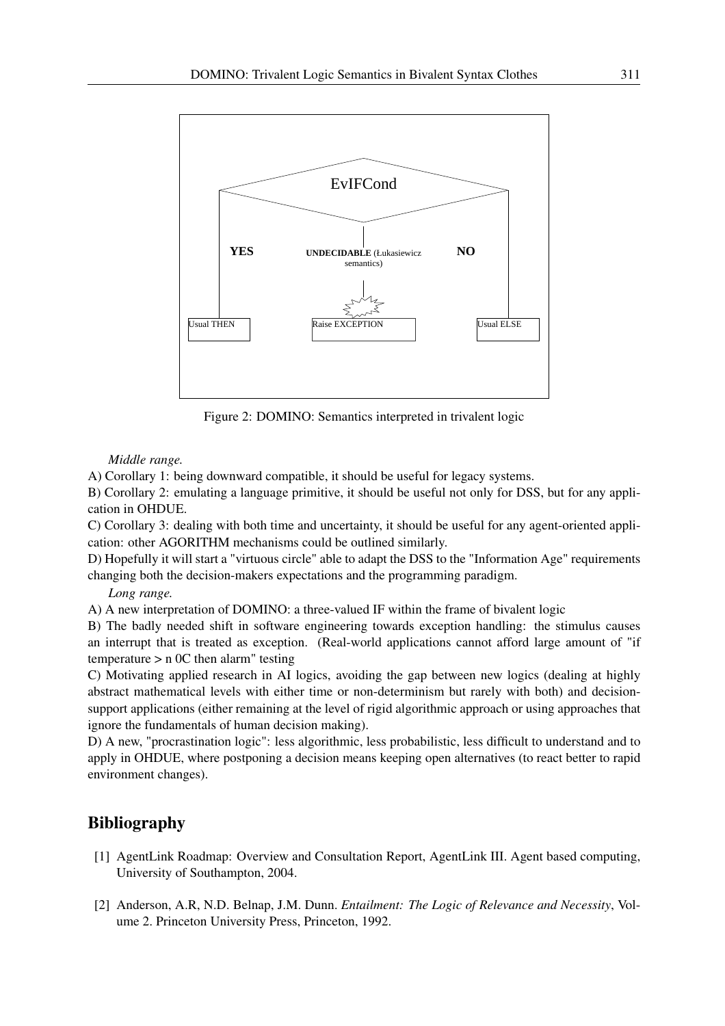

Figure 2: DOMINO: Semantics interpreted in trivalent logic

*Middle range.*

A) Corollary 1: being downward compatible, it should be useful for legacy systems.

B) Corollary 2: emulating a language primitive, it should be useful not only for DSS, but for any application in OHDUE.

C) Corollary 3: dealing with both time and uncertainty, it should be useful for any agent-oriented application: other AGORITHM mechanisms could be outlined similarly.

D) Hopefully it will start a "virtuous circle" able to adapt the DSS to the "Information Age" requirements changing both the decision-makers expectations and the programming paradigm.

#### *Long range.*

A) A new interpretation of DOMINO: a three-valued IF within the frame of bivalent logic

B) The badly needed shift in software engineering towards exception handling: the stimulus causes an interrupt that is treated as exception. (Real-world applications cannot afford large amount of "if temperature  $> n$  0C then alarm" testing

C) Motivating applied research in AI logics, avoiding the gap between new logics (dealing at highly abstract mathematical levels with either time or non-determinism but rarely with both) and decisionsupport applications (either remaining at the level of rigid algorithmic approach or using approaches that ignore the fundamentals of human decision making).

D) A new, "procrastination logic": less algorithmic, less probabilistic, less difficult to understand and to apply in OHDUE, where postponing a decision means keeping open alternatives (to react better to rapid environment changes).

## Bibliography

- [1] AgentLink Roadmap: Overview and Consultation Report, AgentLink III. Agent based computing, University of Southampton, 2004.
- [2] Anderson, A.R, N.D. Belnap, J.M. Dunn. *Entailment: The Logic of Relevance and Necessity*, Volume 2. Princeton University Press, Princeton, 1992.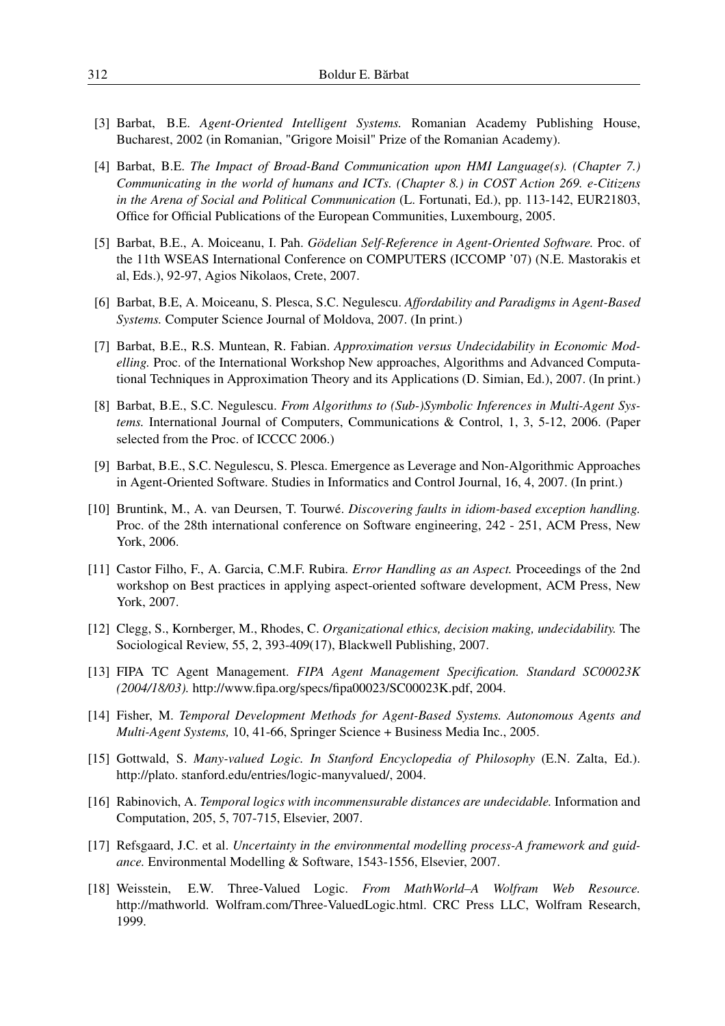- [3] Barbat, B.E. *Agent-Oriented Intelligent Systems.* Romanian Academy Publishing House, Bucharest, 2002 (in Romanian, "Grigore Moisil" Prize of the Romanian Academy).
- [4] Barbat, B.E. *The Impact of Broad-Band Communication upon HMI Language(s). (Chapter 7.) Communicating in the world of humans and ICTs. (Chapter 8.) in COST Action 269. e-Citizens in the Arena of Social and Political Communication* (L. Fortunati, Ed.), pp. 113-142, EUR21803, Office for Official Publications of the European Communities, Luxembourg, 2005.
- [5] Barbat, B.E., A. Moiceanu, I. Pah. *Gödelian Self-Reference in Agent-Oriented Software.* Proc. of the 11th WSEAS International Conference on COMPUTERS (ICCOMP '07) (N.E. Mastorakis et al, Eds.), 92-97, Agios Nikolaos, Crete, 2007.
- [6] Barbat, B.E, A. Moiceanu, S. Plesca, S.C. Negulescu. *Affordability and Paradigms in Agent-Based Systems.* Computer Science Journal of Moldova, 2007. (In print.)
- [7] Barbat, B.E., R.S. Muntean, R. Fabian. *Approximation versus Undecidability in Economic Modelling.* Proc. of the International Workshop New approaches, Algorithms and Advanced Computational Techniques in Approximation Theory and its Applications (D. Simian, Ed.), 2007. (In print.)
- [8] Barbat, B.E., S.C. Negulescu. *From Algorithms to (Sub-)Symbolic Inferences in Multi-Agent Systems.* International Journal of Computers, Communications & Control, 1, 3, 5-12, 2006. (Paper selected from the Proc. of ICCCC 2006.)
- [9] Barbat, B.E., S.C. Negulescu, S. Plesca. Emergence as Leverage and Non-Algorithmic Approaches in Agent-Oriented Software. Studies in Informatics and Control Journal, 16, 4, 2007. (In print.)
- [10] Bruntink, M., A. van Deursen, T. Tourwé. *Discovering faults in idiom-based exception handling.* Proc. of the 28th international conference on Software engineering, 242 - 251, ACM Press, New York, 2006.
- [11] Castor Filho, F., A. Garcia, C.M.F. Rubira. *Error Handling as an Aspect.* Proceedings of the 2nd workshop on Best practices in applying aspect-oriented software development, ACM Press, New York, 2007.
- [12] Clegg, S., Kornberger, M., Rhodes, C. *Organizational ethics, decision making, undecidability.* The Sociological Review, 55, 2, 393-409(17), Blackwell Publishing, 2007.
- [13] FIPA TC Agent Management. *FIPA Agent Management Specification. Standard SC00023K (2004/18/03).* http://www.fipa.org/specs/fipa00023/SC00023K.pdf, 2004.
- [14] Fisher, M. *Temporal Development Methods for Agent-Based Systems. Autonomous Agents and Multi-Agent Systems,* 10, 41-66, Springer Science + Business Media Inc., 2005.
- [15] Gottwald, S. *Many-valued Logic. In Stanford Encyclopedia of Philosophy* (E.N. Zalta, Ed.). http://plato. stanford.edu/entries/logic-manyvalued/, 2004.
- [16] Rabinovich, A. *Temporal logics with incommensurable distances are undecidable.* Information and Computation, 205, 5, 707-715, Elsevier, 2007.
- [17] Refsgaard, J.C. et al. *Uncertainty in the environmental modelling process-A framework and guidance.* Environmental Modelling & Software, 1543-1556, Elsevier, 2007.
- [18] Weisstein, E.W. Three-Valued Logic. *From MathWorld–A Wolfram Web Resource.* http://mathworld. Wolfram.com/Three-ValuedLogic.html. CRC Press LLC, Wolfram Research, 1999.